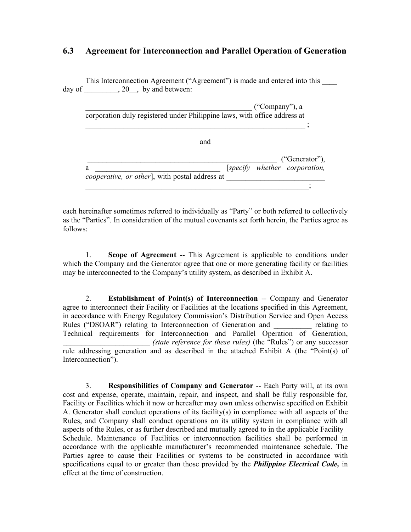### **6.3 Agreement for Interconnection and Parallel Operation of Generation**

This Interconnection Agreement ("Agreement") is made and entered into this \_\_\_\_ day of  $\qquad \qquad , 20$ , by and between:

| ("Company"), a                                                            |  |
|---------------------------------------------------------------------------|--|
| corporation duly registered under Philippine laws, with office address at |  |
|                                                                           |  |
|                                                                           |  |

|                                                       |  | ("Generator"),                |
|-------------------------------------------------------|--|-------------------------------|
| <i>cooperative, or other</i> , with postal address at |  | [specify whether corporation, |
|                                                       |  |                               |

and

each hereinafter sometimes referred to individually as "Party" or both referred to collectively as the "Parties". In consideration of the mutual covenants set forth herein, the Parties agree as follows:

1. **Scope of Agreement** -- This Agreement is applicable to conditions under which the Company and the Generator agree that one or more generating facility or facilities may be interconnected to the Company's utility system, as described in Exhibit A.

2. **Establishment of Point(s) of Interconnection** -- Company and Generator agree to interconnect their Facility or Facilities at the locations specified in this Agreement, in accordance with Energy Regulatory Commission's Distribution Service and Open Access Rules ("DSOAR") relating to Interconnection of Generation and relating to Technical requirements for Interconnection and Parallel Operation of Generation, \_\_\_\_\_\_\_\_\_\_\_\_\_\_\_\_\_\_\_\_\_\_\_ *(state reference for these rules)* (the "Rules") or any successor rule addressing generation and as described in the attached Exhibit A (the "Point(s) of Interconnection").

3. **Responsibilities of Company and Generator** -- Each Party will, at its own cost and expense, operate, maintain, repair, and inspect, and shall be fully responsible for, Facility or Facilities which it now or hereafter may own unless otherwise specified on Exhibit A. Generator shall conduct operations of its facility(s) in compliance with all aspects of the Rules, and Company shall conduct operations on its utility system in compliance with all aspects of the Rules, or as further described and mutually agreed to in the applicable Facility Schedule. Maintenance of Facilities or interconnection facilities shall be performed in accordance with the applicable manufacturer's recommended maintenance schedule. The Parties agree to cause their Facilities or systems to be constructed in accordance with specifications equal to or greater than those provided by the *Philippine Electrical Code,* in effect at the time of construction.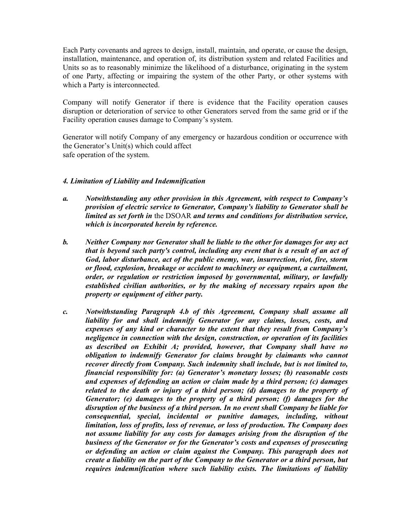Each Party covenants and agrees to design, install, maintain, and operate, or cause the design, installation, maintenance, and operation of, its distribution system and related Facilities and Units so as to reasonably minimize the likelihood of a disturbance, originating in the system of one Party, affecting or impairing the system of the other Party, or other systems with which a Party is interconnected.

Company will notify Generator if there is evidence that the Facility operation causes disruption or deterioration of service to other Generators served from the same grid or if the Facility operation causes damage to Company's system.

Generator will notify Company of any emergency or hazardous condition or occurrence with the Generator's Unit(s) which could affect safe operation of the system.

#### *4. Limitation of Liability and Indemnification*

- *a. Notwithstanding any other provision in this Agreement, with respect to Company's provision of electric service to Generator, Company's liability to Generator shall be limited as set forth in* the DSOAR *and terms and conditions for distribution service, which is incorporated herein by reference.*
- *b. Neither Company nor Generator shall be liable to the other for damages for any act that is beyond such party's control, including any event that is a result of an act of God, labor disturbance, act of the public enemy, war, insurrection, riot, fire, storm or flood, explosion, breakage or accident to machinery or equipment, a curtailment, order, or regulation or restriction imposed by governmental, military, or lawfully established civilian authorities, or by the making of necessary repairs upon the property or equipment of either party.*
- *c. Notwithstanding Paragraph 4.b of this Agreement, Company shall assume all liability for and shall indemnify Generator for any claims, losses, costs, and expenses of any kind or character to the extent that they result from Company's negligence in connection with the design, construction, or operation of its facilities as described on Exhibit A; provided, however, that Company shall have no obligation to indemnify Generator for claims brought by claimants who cannot recover directly from Company. Such indemnity shall include, but is not limited to, financial responsibility for: (a) Generator's monetary losses; (b) reasonable costs and expenses of defending an action or claim made by a third person; (c) damages related to the death or injury of a third person; (d) damages to the property of Generator; (e) damages to the property of a third person; (f) damages for the disruption of the business of a third person. In no event shall Company be liable for consequential, special, incidental or punitive damages, including, without limitation, loss of profits, loss of revenue, or loss of production. The Company does not assume liability for any costs for damages arising from the disruption of the business of the Generator or for the Generator's costs and expenses of prosecuting or defending an action or claim against the Company. This paragraph does not create a liability on the part of the Company to the Generator or a third person, but requires indemnification where such liability exists. The limitations of liability*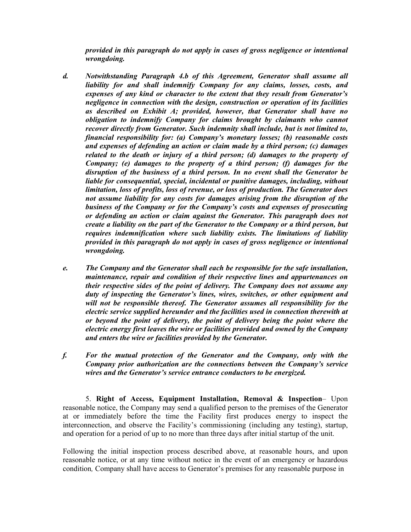*provided in this paragraph do not apply in cases of gross negligence or intentional wrongdoing.* 

- *d. Notwithstanding Paragraph 4.b of this Agreement, Generator shall assume all liability for and shall indemnify Company for any claims, losses, costs, and expenses of any kind or character to the extent that they result from Generator's negligence in connection with the design, construction or operation of its facilities as described on Exhibit A; provided, however, that Generator shall have no obligation to indemnify Company for claims brought by claimants who cannot recover directly from Generator. Such indemnity shall include, but is not limited to, financial responsibility for: (a) Company's monetary losses; (b) reasonable costs and expenses of defending an action or claim made by a third person; (c) damages related to the death or injury of a third person; (d) damages to the property of Company; (e) damages to the property of a third person; (f) damages for the disruption of the business of a third person. In no event shall the Generator be liable for consequential, special, incidental or punitive damages, including, without limitation, loss of profits, loss of revenue, or loss of production. The Generator does not assume liability for any costs for damages arising from the disruption of the business of the Company or for the Company's costs and expenses of prosecuting or defending an action or claim against the Generator. This paragraph does not create a liability on the part of the Generator to the Company or a third person, but requires indemnification where such liability exists. The limitations of liability provided in this paragraph do not apply in cases of gross negligence or intentional wrongdoing.*
- *e. The Company and the Generator shall each be responsible for the safe installation, maintenance, repair and condition of their respective lines and appurtenances on their respective sides of the point of delivery. The Company does not assume any duty of inspecting the Generator's lines, wires, switches, or other equipment and will not be responsible thereof. The Generator assumes all responsibility for the electric service supplied hereunder and the facilities used in connection therewith at or beyond the point of delivery, the point of delivery being the point where the electric energy first leaves the wire or facilities provided and owned by the Company and enters the wire or facilities provided by the Generator.*
- *f. For the mutual protection of the Generator and the Company, only with the Company prior authorization are the connections between the Company's service wires and the Generator's service entrance conductors to be energized.*

5. **Right of Access, Equipment Installation, Removal & Inspection**– Upon reasonable notice, the Company may send a qualified person to the premises of the Generator at or immediately before the time the Facility first produces energy to inspect the interconnection, and observe the Facility's commissioning (including any testing), startup, and operation for a period of up to no more than three days after initial startup of the unit.

Following the initial inspection process described above, at reasonable hours, and upon reasonable notice, or at any time without notice in the event of an emergency or hazardous condition*,* Company shall have access to Generator's premises for any reasonable purpose in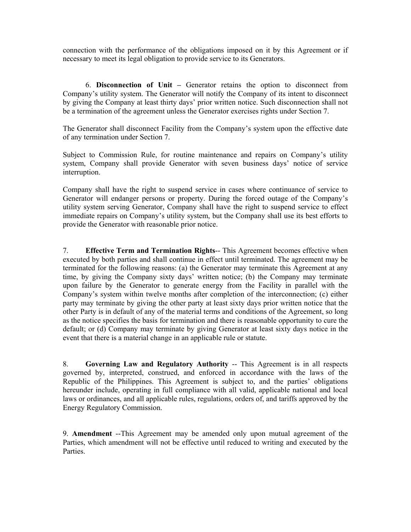connection with the performance of the obligations imposed on it by this Agreement or if necessary to meet its legal obligation to provide service to its Generators.

6. **Disconnection of Unit –** Generator retains the option to disconnect from Company's utility system. The Generator will notify the Company of its intent to disconnect by giving the Company at least thirty days' prior written notice. Such disconnection shall not be a termination of the agreement unless the Generator exercises rights under Section 7.

The Generator shall disconnect Facility from the Company's system upon the effective date of any termination under Section 7.

Subject to Commission Rule, for routine maintenance and repairs on Company's utility system, Company shall provide Generator with seven business days' notice of service interruption.

Company shall have the right to suspend service in cases where continuance of service to Generator will endanger persons or property. During the forced outage of the Company's utility system serving Generator, Company shall have the right to suspend service to effect immediate repairs on Company's utility system, but the Company shall use its best efforts to provide the Generator with reasonable prior notice.

7. **Effective Term and Termination Rights**-- This Agreement becomes effective when executed by both parties and shall continue in effect until terminated. The agreement may be terminated for the following reasons: (a) the Generator may terminate this Agreement at any time, by giving the Company sixty days' written notice; (b) the Company may terminate upon failure by the Generator to generate energy from the Facility in parallel with the Company's system within twelve months after completion of the interconnection; (c) either party may terminate by giving the other party at least sixty days prior written notice that the other Party is in default of any of the material terms and conditions of the Agreement, so long as the notice specifies the basis for termination and there is reasonable opportunity to cure the default; or (d) Company may terminate by giving Generator at least sixty days notice in the event that there is a material change in an applicable rule or statute.

8. **Governing Law and Regulatory Authority** -- This Agreement is in all respects governed by, interpreted, construed, and enforced in accordance with the laws of the Republic of the Philippines. This Agreement is subject to, and the parties' obligations hereunder include, operating in full compliance with all valid, applicable national and local laws or ordinances, and all applicable rules, regulations, orders of, and tariffs approved by the Energy Regulatory Commission.

9. **Amendment** --This Agreement may be amended only upon mutual agreement of the Parties, which amendment will not be effective until reduced to writing and executed by the **Parties**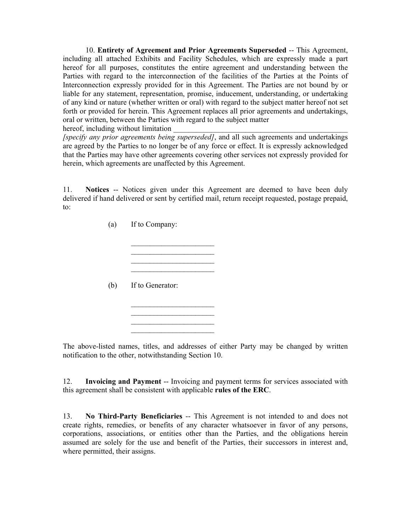10. **Entirety of Agreement and Prior Agreements Superseded** -- This Agreement, including all attached Exhibits and Facility Schedules, which are expressly made a part hereof for all purposes, constitutes the entire agreement and understanding between the Parties with regard to the interconnection of the facilities of the Parties at the Points of Interconnection expressly provided for in this Agreement. The Parties are not bound by or liable for any statement, representation, promise, inducement, understanding, or undertaking of any kind or nature (whether written or oral) with regard to the subject matter hereof not set forth or provided for herein. This Agreement replaces all prior agreements and undertakings, oral or written, between the Parties with regard to the subject matter

hereof, including without limitation *[specify any prior agreements being superseded]*, and all such agreements and undertakings are agreed by the Parties to no longer be of any force or effect. It is expressly acknowledged that the Parties may have other agreements covering other services not expressly provided for

> $\overline{\phantom{a}}$  , where  $\overline{\phantom{a}}$  $\mathcal{L}_\text{max}$  $\overline{\phantom{a}}$  , where  $\overline{\phantom{a}}$  $\mathcal{L}_\text{max}$

> $\overline{\phantom{a}}$  , where  $\overline{\phantom{a}}$

 $\mathcal{L}_\text{max}$  , we have the set of the set of the set of the set of the set of the set of the set of the set of the set of the set of the set of the set of the set of the set of the set of the set of the set of the set of  $\overline{\phantom{a}}$  , where  $\overline{\phantom{a}}$ 

11. **Notices** -- Notices given under this Agreement are deemed to have been duly delivered if hand delivered or sent by certified mail, return receipt requested, postage prepaid,

(a) If to Company:

to:

herein, which agreements are unaffected by this Agreement.

(b) If to Generator:

The above-listed names, titles, and addresses of either Party may be changed by written notification to the other, notwithstanding Section 10.

12. **Invoicing and Payment** -- Invoicing and payment terms for services associated with this agreement shall be consistent with applicable **rules of the ERC**.

13. **No Third-Party Beneficiaries** -- This Agreement is not intended to and does not create rights, remedies, or benefits of any character whatsoever in favor of any persons, corporations, associations, or entities other than the Parties, and the obligations herein assumed are solely for the use and benefit of the Parties, their successors in interest and, where permitted, their assigns.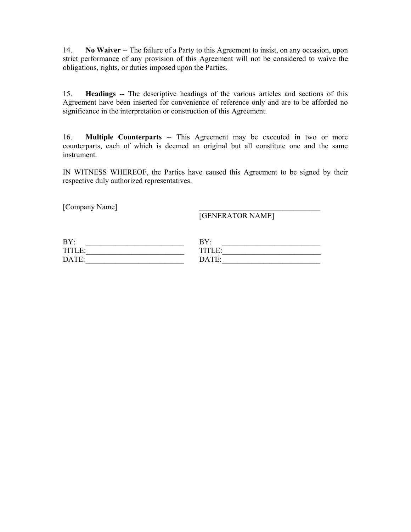14. **No Waiver** -- The failure of a Party to this Agreement to insist, on any occasion, upon strict performance of any provision of this Agreement will not be considered to waive the obligations, rights, or duties imposed upon the Parties.

15. **Headings** -- The descriptive headings of the various articles and sections of this Agreement have been inserted for convenience of reference only and are to be afforded no significance in the interpretation or construction of this Agreement.

16. **Multiple Counterparts** -- This Agreement may be executed in two or more counterparts, each of which is deemed an original but all constitute one and the same instrument.

IN WITNESS WHEREOF, the Parties have caused this Agreement to be signed by their respective duly authorized representatives.

[Company Name]

[GENERATOR NAME]

| BY:    | BY:    |
|--------|--------|
| TITI F | TITLE. |
| DATE:  | DA TE· |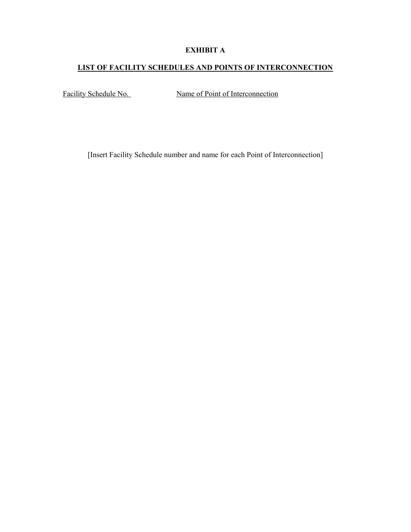### **EXHIBIT A**

## **LIST OF FACILITY SCHEDULES AND POINTS OF INTERCONNECTION**

Facility Schedule No. Name of Point of Interconnection

[Insert Facility Schedule number and name for each Point of Interconnection]